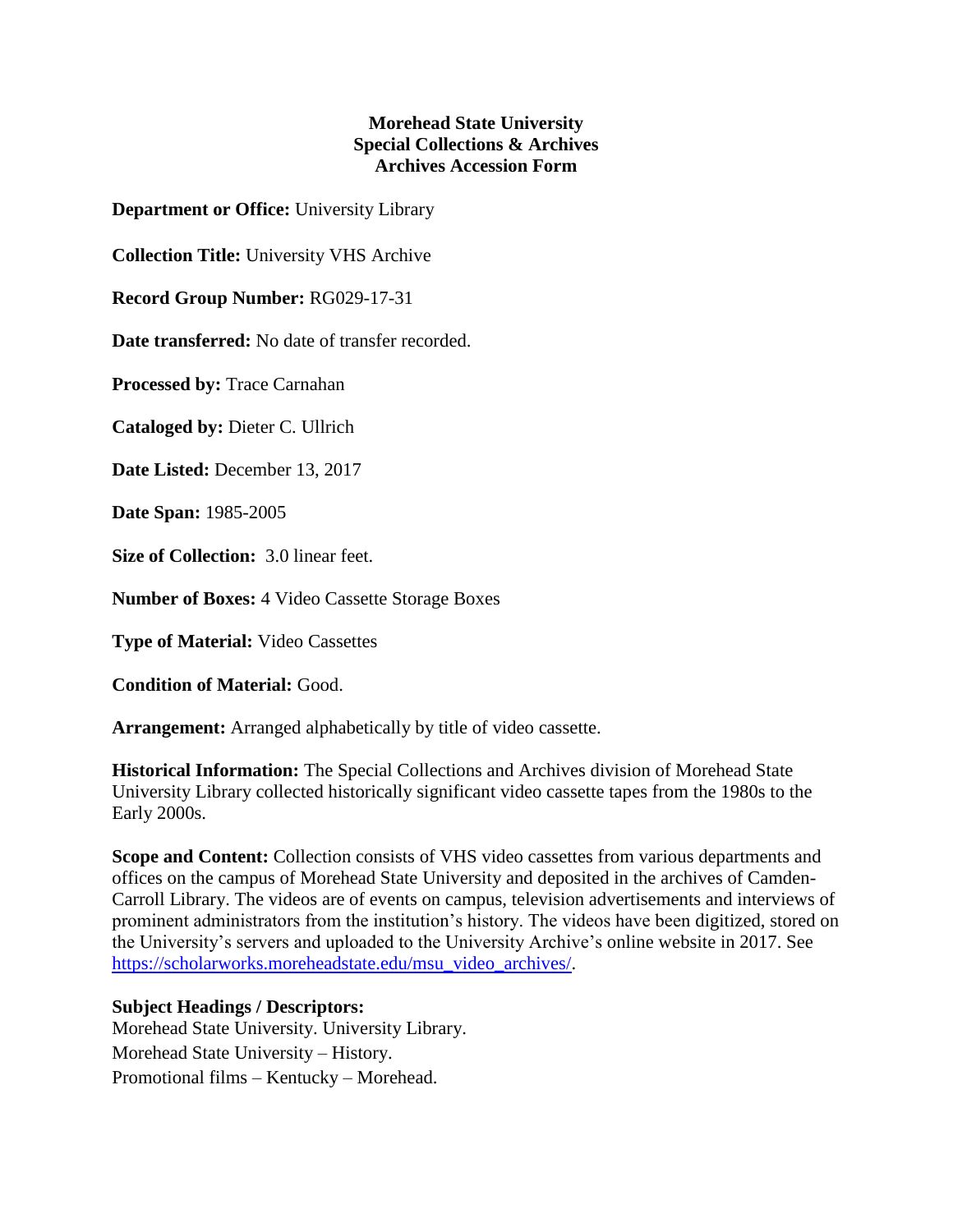## **Morehead State University Special Collections & Archives Archives Accession Form**

**Department or Office:** University Library

**Collection Title:** University VHS Archive

**Record Group Number:** RG029-17-31

**Date transferred:** No date of transfer recorded.

**Processed by:** Trace Carnahan

**Cataloged by:** Dieter C. Ullrich

**Date Listed:** December 13, 2017

**Date Span:** 1985-2005

**Size of Collection:** 3.0 linear feet.

**Number of Boxes:** 4 Video Cassette Storage Boxes

**Type of Material:** Video Cassettes

**Condition of Material:** Good.

**Arrangement:** Arranged alphabetically by title of video cassette.

**Historical Information:** The Special Collections and Archives division of Morehead State University Library collected historically significant video cassette tapes from the 1980s to the Early 2000s.

**Scope and Content:** Collection consists of VHS video cassettes from various departments and offices on the campus of Morehead State University and deposited in the archives of Camden-Carroll Library. The videos are of events on campus, television advertisements and interviews of prominent administrators from the institution's history. The videos have been digitized, stored on the University's servers and uploaded to the University Archive's online website in 2017. See [https://scholarworks.moreheadstate.edu/msu\\_video\\_archives/.](https://scholarworks.moreheadstate.edu/msu_video_archives/)

## **Subject Headings / Descriptors:**

Morehead State University. University Library. Morehead State University – History. Promotional films – Kentucky – Morehead.